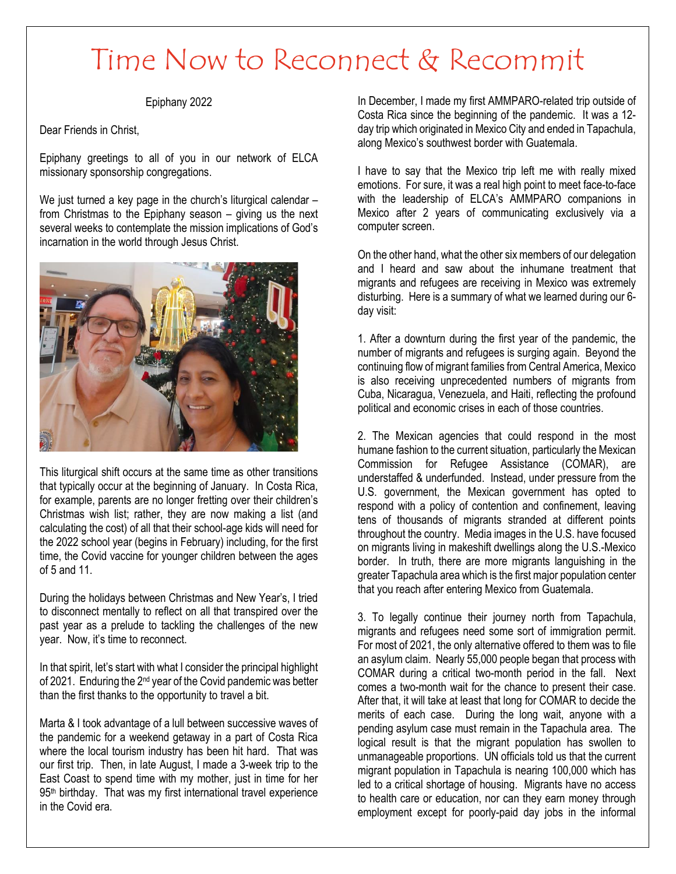## Time Now to Reconnect & Recommit

## Epiphany 2022

Dear Friends in Christ,

Epiphany greetings to all of you in our network of ELCA missionary sponsorship congregations.

We just turned a key page in the church's liturgical calendar from Christmas to the Epiphany season – giving us the next several weeks to contemplate the mission implications of God's incarnation in the world through Jesus Christ.



This liturgical shift occurs at the same time as other transitions that typically occur at the beginning of January. In Costa Rica, for example, parents are no longer fretting over their children's Christmas wish list; rather, they are now making a list (and calculating the cost) of all that their school-age kids will need for the 2022 school year (begins in February) including, for the first time, the Covid vaccine for younger children between the ages of 5 and 11.

During the holidays between Christmas and New Year's, I tried to disconnect mentally to reflect on all that transpired over the past year as a prelude to tackling the challenges of the new year. Now, it's time to reconnect.

In that spirit, let's start with what I consider the principal highlight of 2021. Enduring the 2<sup>nd</sup> year of the Covid pandemic was better than the first thanks to the opportunity to travel a bit.

Marta & I took advantage of a lull between successive waves of the pandemic for a weekend getaway in a part of Costa Rica where the local tourism industry has been hit hard. That was our first trip. Then, in late August, I made a 3-week trip to the East Coast to spend time with my mother, just in time for her 95<sup>th</sup> birthday. That was my first international travel experience in the Covid era.

In December, I made my first AMMPARO-related trip outside of Costa Rica since the beginning of the pandemic. It was a 12 day trip which originated in Mexico City and ended in Tapachula, along Mexico's southwest border with Guatemala.

I have to say that the Mexico trip left me with really mixed emotions. For sure, it was a real high point to meet face-to-face with the leadership of ELCA's AMMPARO companions in Mexico after 2 years of communicating exclusively via a computer screen.

On the other hand, what the other six members of our delegation and I heard and saw about the inhumane treatment that migrants and refugees are receiving in Mexico was extremely disturbing. Here is a summary of what we learned during our 6 day visit:

1. After a downturn during the first year of the pandemic, the number of migrants and refugees is surging again. Beyond the continuing flow of migrant families from Central America, Mexico is also receiving unprecedented numbers of migrants from Cuba, Nicaragua, Venezuela, and Haiti, reflecting the profound political and economic crises in each of those countries.

2. The Mexican agencies that could respond in the most humane fashion to the current situation, particularly the Mexican Commission for Refugee Assistance (COMAR), are understaffed & underfunded. Instead, under pressure from the U.S. government, the Mexican government has opted to respond with a policy of contention and confinement, leaving tens of thousands of migrants stranded at different points throughout the country. Media images in the U.S. have focused on migrants living in makeshift dwellings along the U.S.-Mexico border. In truth, there are more migrants languishing in the greater Tapachula area which is the first major population center that you reach after entering Mexico from Guatemala.

3. To legally continue their journey north from Tapachula, migrants and refugees need some sort of immigration permit. For most of 2021, the only alternative offered to them was to file an asylum claim. Nearly 55,000 people began that process with COMAR during a critical two-month period in the fall. Next comes a two-month wait for the chance to present their case. After that, it will take at least that long for COMAR to decide the merits of each case. During the long wait, anyone with a pending asylum case must remain in the Tapachula area. The logical result is that the migrant population has swollen to unmanageable proportions. UN officials told us that the current migrant population in Tapachula is nearing 100,000 which has led to a critical shortage of housing. Migrants have no access to health care or education, nor can they earn money through employment except for poorly-paid day jobs in the informal